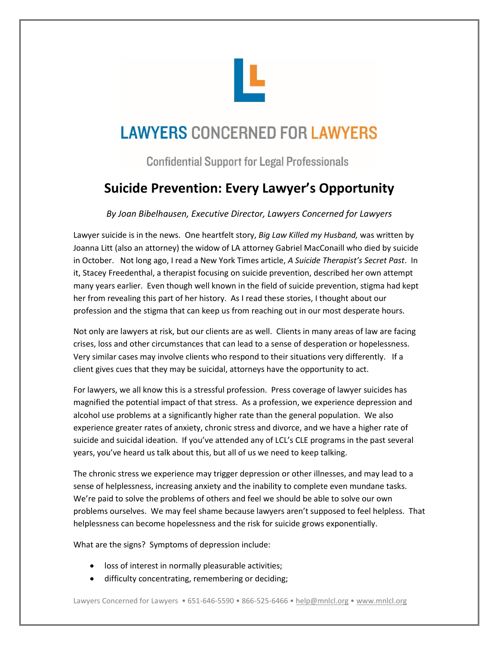

## **LAWYERS CONCERNED FOR LAWYERS**

**Confidential Support for Legal Professionals** 

## **Suicide Prevention: Every Lawyer's Opportunity**

*By Joan Bibelhausen, Executive Director, Lawyers Concerned for Lawyers*

Lawyer suicide is in the news. One heartfelt story, *Big Law Killed my Husband,* was written by Joanna Litt (also an attorney) the widow of LA attorney Gabriel MacConaill who died by suicide in October. Not long ago, I read a New York Times article, *A Suicide Therapist's Secret Past*. In it, Stacey Freedenthal, a therapist focusing on suicide prevention, described her own attempt many years earlier. Even though well known in the field of suicide prevention, stigma had kept her from revealing this part of her history. As I read these stories, I thought about our profession and the stigma that can keep us from reaching out in our most desperate hours.

Not only are lawyers at risk, but our clients are as well. Clients in many areas of law are facing crises, loss and other circumstances that can lead to a sense of desperation or hopelessness. Very similar cases may involve clients who respond to their situations very differently. If a client gives cues that they may be suicidal, attorneys have the opportunity to act.

For lawyers, we all know this is a stressful profession. Press coverage of lawyer suicides has magnified the potential impact of that stress. As a profession, we experience depression and alcohol use problems at a significantly higher rate than the general population. We also experience greater rates of anxiety, chronic stress and divorce, and we have a higher rate of suicide and suicidal ideation. If you've attended any of LCL's CLE programs in the past several years, you've heard us talk about this, but all of us we need to keep talking.

The chronic stress we experience may trigger depression or other illnesses, and may lead to a sense of helplessness, increasing anxiety and the inability to complete even mundane tasks. We're paid to solve the problems of others and feel we should be able to solve our own problems ourselves. We may feel shame because lawyers aren't supposed to feel helpless. That helplessness can become hopelessness and the risk for suicide grows exponentially.

What are the signs? Symptoms of depression include:

- loss of interest in normally pleasurable activities;
- difficulty concentrating, remembering or deciding;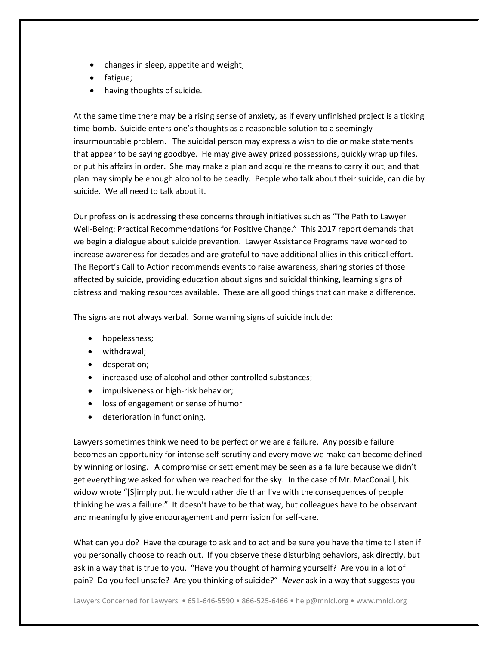- changes in sleep, appetite and weight;
- fatigue;
- having thoughts of suicide.

At the same time there may be a rising sense of anxiety, as if every unfinished project is a ticking time-bomb. Suicide enters one's thoughts as a reasonable solution to a seemingly insurmountable problem. The suicidal person may express a wish to die or make statements that appear to be saying goodbye. He may give away prized possessions, quickly wrap up files, or put his affairs in order. She may make a plan and acquire the means to carry it out, and that plan may simply be enough alcohol to be deadly. People who talk about their suicide, can die by suicide. We all need to talk about it.

Our profession is addressing these concerns through initiatives such as "The Path to Lawyer Well-Being: Practical Recommendations for Positive Change." This 2017 report demands that we begin a dialogue about suicide prevention. Lawyer Assistance Programs have worked to increase awareness for decades and are grateful to have additional allies in this critical effort. The Report's Call to Action recommends events to raise awareness, sharing stories of those affected by suicide, providing education about signs and suicidal thinking, learning signs of distress and making resources available. These are all good things that can make a difference.

The signs are not always verbal. Some warning signs of suicide include:

- hopelessness;
- withdrawal;
- desperation;
- increased use of alcohol and other controlled substances;
- impulsiveness or high-risk behavior;
- loss of engagement or sense of humor
- deterioration in functioning.

Lawyers sometimes think we need to be perfect or we are a failure. Any possible failure becomes an opportunity for intense self-scrutiny and every move we make can become defined by winning or losing. A compromise or settlement may be seen as a failure because we didn't get everything we asked for when we reached for the sky. In the case of Mr. MacConaill, his widow wrote "[S]imply put, he would rather die than live with the consequences of people thinking he was a failure." It doesn't have to be that way, but colleagues have to be observant and meaningfully give encouragement and permission for self-care.

What can you do? Have the courage to ask and to act and be sure you have the time to listen if you personally choose to reach out. If you observe these disturbing behaviors, ask directly, but ask in a way that is true to you. "Have you thought of harming yourself? Are you in a lot of pain? Do you feel unsafe? Are you thinking of suicide?" *Never* ask in a way that suggests you